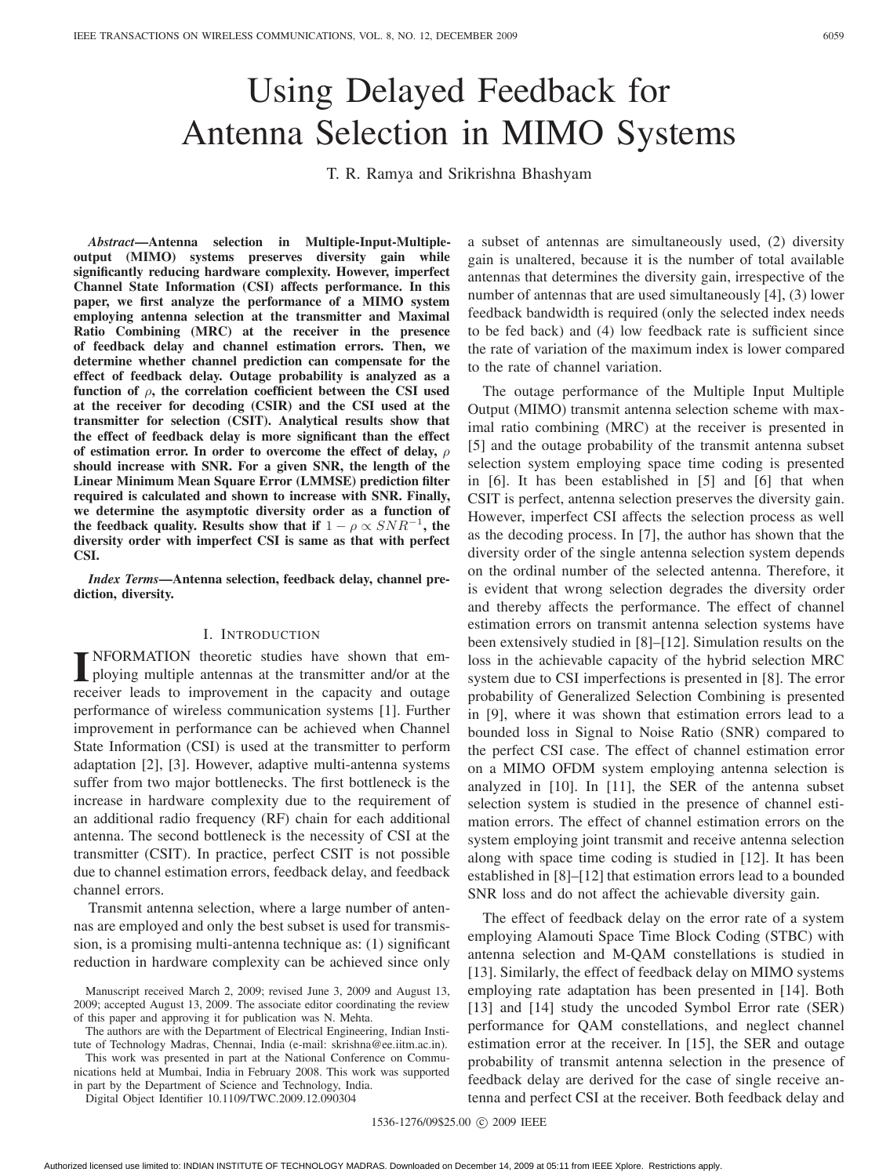# Using Delayed Feedback for Antenna Selection in MIMO Systems

T. R. Ramya and Srikrishna Bhashyam

*Abstract***—Antenna selection in Multiple-Input-Multipleoutput (MIMO) systems preserves diversity gain while significantly reducing hardware complexity. However, imperfect Channel State Information (CSI) affects performance. In this paper, we first analyze the performance of a MIMO system employing antenna selection at the transmitter and Maximal Ratio Combining (MRC) at the receiver in the presence of feedback delay and channel estimation errors. Then, we determine whether channel prediction can compensate for the effect of feedback delay. Outage probability is analyzed as a** function of  $\rho$ , the correlation coefficient between the CSI used **at the receiver for decoding (CSIR) and the CSI used at the transmitter for selection (CSIT). Analytical results show that the effect of feedback delay is more significant than the effect of estimation error. In order to overcome the effect of delay, should increase with SNR. For a given SNR, the length of the Linear Minimum Mean Square Error (LMMSE) prediction filter required is calculated and shown to increase with SNR. Finally, we determine the asymptotic diversity order as a function of the feedback quality. Results show that if**  $1 - \rho \propto SNR^{-1}$ , the **diversity order with imperfect CSI is same as that with perfect CSI.**

*Index Terms***—Antenna selection, feedback delay, channel prediction, diversity.**

#### I. INTRODUCTION

**I** NFORMATION theoretic studies have shown that employing multiple antennas at the transmitter and/or at the ploying multiple antennas at the transmitter and/or at the receiver leads to improvement in the capacity and outage performance of wireless communication systems [1]. Further improvement in performance can be achieved when Channel State Information (CSI) is used at the transmitter to perform adaptation [2], [3]. However, adaptive multi-antenna systems suffer from two major bottlenecks. The first bottleneck is the increase in hardware complexity due to the requirement of an additional radio frequency (RF) chain for each additional antenna. The second bottleneck is the necessity of CSI at the transmitter (CSIT). In practice, perfect CSIT is not possible due to channel estimation errors, feedback delay, and feedback channel errors.

Transmit antenna selection, where a large number of antennas are employed and only the best subset is used for transmission, is a promising multi-antenna technique as: (1) significant reduction in hardware complexity can be achieved since only

The authors are with the Department of Electrical Engineering, Indian Institute of Technology Madras, Chennai, India (e-mail: skrishna@ee.iitm.ac.in).

This work was presented in part at the National Conference on Communications held at Mumbai, India in February 2008. This work was supported in part by the Department of Science and Technology, India.

Digital Object Identifier 10.1109/TWC.2009.12.090304

a subset of antennas are simultaneously used, (2) diversity gain is unaltered, because it is the number of total available antennas that determines the diversity gain, irrespective of the number of antennas that are used simultaneously [4], (3) lower feedback bandwidth is required (only the selected index needs to be fed back) and (4) low feedback rate is sufficient since the rate of variation of the maximum index is lower compared to the rate of channel variation.

The outage performance of the Multiple Input Multiple Output (MIMO) transmit antenna selection scheme with maximal ratio combining (MRC) at the receiver is presented in [5] and the outage probability of the transmit antenna subset selection system employing space time coding is presented in [6]. It has been established in [5] and [6] that when CSIT is perfect, antenna selection preserves the diversity gain. However, imperfect CSI affects the selection process as well as the decoding process. In [7], the author has shown that the diversity order of the single antenna selection system depends on the ordinal number of the selected antenna. Therefore, it is evident that wrong selection degrades the diversity order and thereby affects the performance. The effect of channel estimation errors on transmit antenna selection systems have been extensively studied in [8]–[12]. Simulation results on the loss in the achievable capacity of the hybrid selection MRC system due to CSI imperfections is presented in [8]. The error probability of Generalized Selection Combining is presented in [9], where it was shown that estimation errors lead to a bounded loss in Signal to Noise Ratio (SNR) compared to the perfect CSI case. The effect of channel estimation error on a MIMO OFDM system employing antenna selection is analyzed in [10]. In [11], the SER of the antenna subset selection system is studied in the presence of channel estimation errors. The effect of channel estimation errors on the system employing joint transmit and receive antenna selection along with space time coding is studied in [12]. It has been established in [8]–[12] that estimation errors lead to a bounded SNR loss and do not affect the achievable diversity gain.

The effect of feedback delay on the error rate of a system employing Alamouti Space Time Block Coding (STBC) with antenna selection and M-QAM constellations is studied in [13]. Similarly, the effect of feedback delay on MIMO systems employing rate adaptation has been presented in [14]. Both [13] and [14] study the uncoded Symbol Error rate (SER) performance for QAM constellations, and neglect channel estimation error at the receiver. In [15], the SER and outage probability of transmit antenna selection in the presence of feedback delay are derived for the case of single receive antenna and perfect CSI at the receiver. Both feedback delay and

1536-1276/09\$25.00 © 2009 IEEE

Manuscript received March 2, 2009; revised June 3, 2009 and August 13, 2009; accepted August 13, 2009. The associate editor coordinating the review of this paper and approving it for publication was N. Mehta.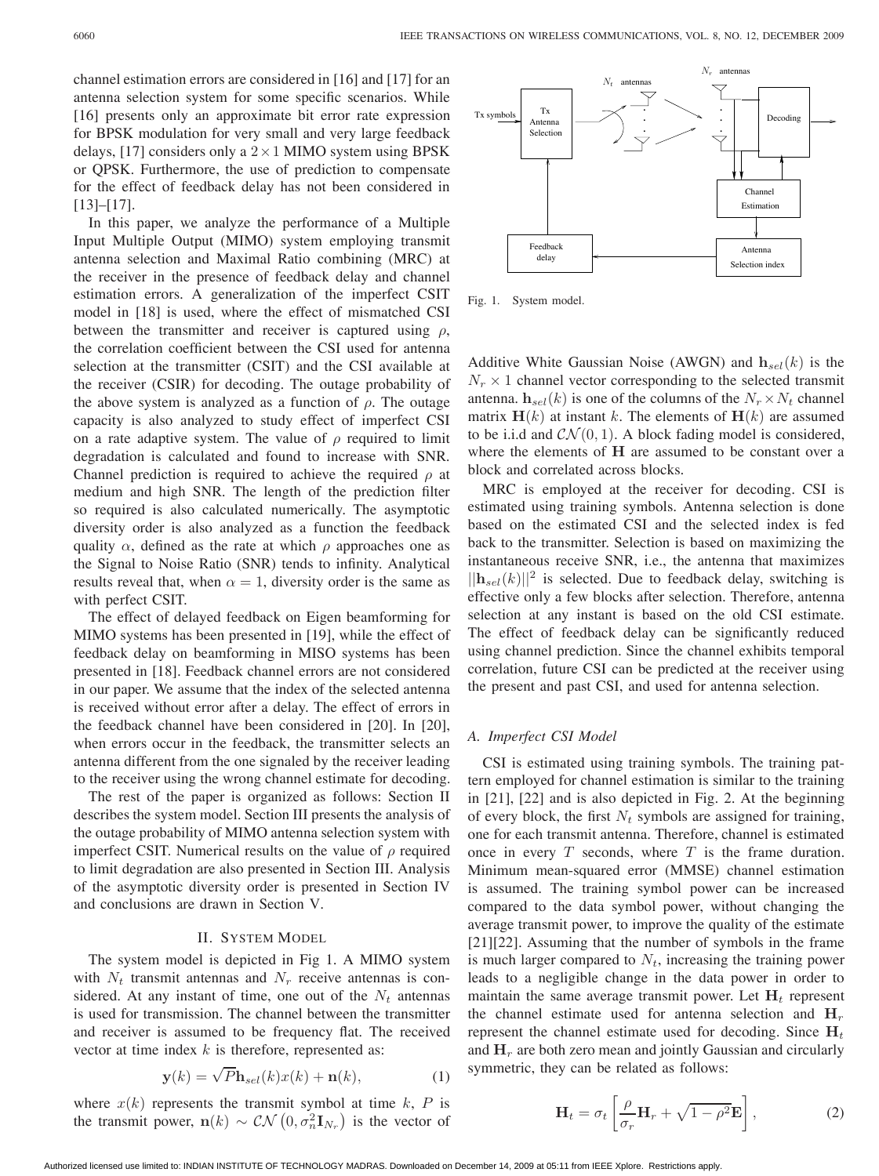channel estimation errors are considered in [16] and [17] for an antenna selection system for some specific scenarios. While [16] presents only an approximate bit error rate expression for BPSK modulation for very small and very large feedback delays, [17] considers only a  $2 \times 1$  MIMO system using BPSK or QPSK. Furthermore, the use of prediction to compensate for the effect of feedback delay has not been considered in [13]–[17].

In this paper, we analyze the performance of a Multiple Input Multiple Output (MIMO) system employing transmit antenna selection and Maximal Ratio combining (MRC) at the receiver in the presence of feedback delay and channel estimation errors. A generalization of the imperfect CSIT model in [18] is used, where the effect of mismatched CSI between the transmitter and receiver is captured using  $\rho$ , the correlation coefficient between the CSI used for antenna selection at the transmitter (CSIT) and the CSI available at the receiver (CSIR) for decoding. The outage probability of the above system is analyzed as a function of  $\rho$ . The outage capacity is also analyzed to study effect of imperfect CSI on a rate adaptive system. The value of  $\rho$  required to limit degradation is calculated and found to increase with SNR. Channel prediction is required to achieve the required  $\rho$  at medium and high SNR. The length of the prediction filter so required is also calculated numerically. The asymptotic diversity order is also analyzed as a function the feedback quality  $\alpha$ , defined as the rate at which  $\rho$  approaches one as the Signal to Noise Ratio (SNR) tends to infinity. Analytical results reveal that, when  $\alpha = 1$ , diversity order is the same as with perfect CSIT.

The effect of delayed feedback on Eigen beamforming for MIMO systems has been presented in [19], while the effect of feedback delay on beamforming in MISO systems has been presented in [18]. Feedback channel errors are not considered in our paper. We assume that the index of the selected antenna is received without error after a delay. The effect of errors in the feedback channel have been considered in [20]. In [20], when errors occur in the feedback, the transmitter selects an antenna different from the one signaled by the receiver leading to the receiver using the wrong channel estimate for decoding.

The rest of the paper is organized as follows: Section II describes the system model. Section III presents the analysis of the outage probability of MIMO antenna selection system with imperfect CSIT. Numerical results on the value of  $\rho$  required to limit degradation are also presented in Section III. Analysis of the asymptotic diversity order is presented in Section IV and conclusions are drawn in Section V.

## II. SYSTEM MODEL

The system model is depicted in Fig 1. A MIMO system with  $N_t$  transmit antennas and  $N_r$  receive antennas is considered. At any instant of time, one out of the  $N_t$  antennas is used for transmission. The channel between the transmitter and receiver is assumed to be frequency flat. The received vector at time index  $k$  is therefore, represented as:

$$
\mathbf{y}(k) = \sqrt{P} \mathbf{h}_{sel}(k) x(k) + \mathbf{n}(k),\tag{1}
$$

where  $x(k)$  represents the transmit symbol at time k, P is the transmit power,  $\mathbf{n}(k) \sim \mathcal{CN}\left(0, \sigma_n^2 \mathbf{I}_{N_r}\right)$  is the vector of



Fig. 1. System model.

Additive White Gaussian Noise (AWGN) and  $h_{sel}(k)$  is the  $N_r \times 1$  channel vector corresponding to the selected transmit antenna.  $\mathbf{h}_{sel}(k)$  is one of the columns of the  $N_r \times N_t$  channel matrix  $\mathbf{H}(k)$  at instant k. The elements of  $\mathbf{H}(k)$  are assumed to be i.i.d and  $CN(0, 1)$ . A block fading model is considered, where the elements of **H** are assumed to be constant over a block and correlated across blocks.

MRC is employed at the receiver for decoding. CSI is estimated using training symbols. Antenna selection is done based on the estimated CSI and the selected index is fed back to the transmitter. Selection is based on maximizing the instantaneous receive SNR, i.e., the antenna that maximizes  $||\mathbf{h}_{sel}(k)||^2$  is selected. Due to feedback delay, switching is effective only a few blocks after selection. Therefore, antenna selection at any instant is based on the old CSI estimate. The effect of feedback delay can be significantly reduced using channel prediction. Since the channel exhibits temporal correlation, future CSI can be predicted at the receiver using the present and past CSI, and used for antenna selection.

#### *A. Imperfect CSI Model*

CSI is estimated using training symbols. The training pattern employed for channel estimation is similar to the training in [21], [22] and is also depicted in Fig. 2. At the beginning of every block, the first  $N_t$  symbols are assigned for training, one for each transmit antenna. Therefore, channel is estimated once in every  $T$  seconds, where  $T$  is the frame duration. Minimum mean-squared error (MMSE) channel estimation is assumed. The training symbol power can be increased compared to the data symbol power, without changing the average transmit power, to improve the quality of the estimate [21][22]. Assuming that the number of symbols in the frame is much larger compared to  $N_t$ , increasing the training power leads to a negligible change in the data power in order to maintain the same average transmit power. Let  $H_t$  represent the channel estimate used for antenna selection and  $H_r$ represent the channel estimate used for decoding. Since  $H_t$ and  $H<sub>r</sub>$  are both zero mean and jointly Gaussian and circularly symmetric, they can be related as follows:

$$
\mathbf{H}_{t} = \sigma_{t} \left[ \frac{\rho}{\sigma_{r}} \mathbf{H}_{r} + \sqrt{1 - \rho^{2}} \mathbf{E} \right],
$$
 (2)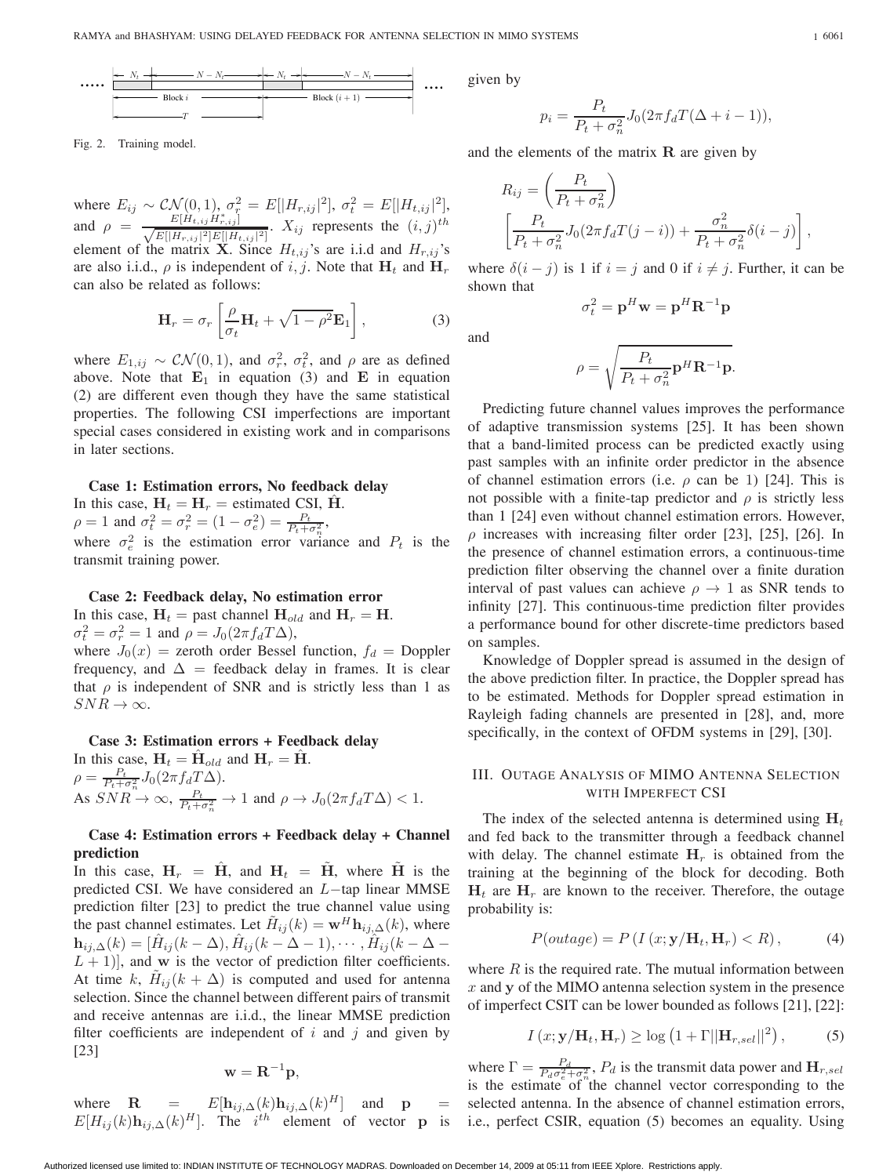

Fig. 2. Training model.

where  $E_{ij} \sim \mathcal{CN}(0, 1), \sigma_{\tau}^2 = E[|H_{r, ij}|^2], \sigma_t^2 = E[|H_{t, ij}|^2],$ and  $\rho = \frac{E[H_{t,ij}H_{r,ij}^*]}{\sqrt{E[|H_{r,ij}|^2]E[|H_{t,ij}|^2]}}$ .  $X_{ij}$  represents the  $(i, j)^{th}$ element of the matrix **X**. Since  $H_{t,ij}$ 's are i.i.d and  $H_{r,ij}$ 's are also i.i.d.,  $\rho$  is independent of i, j. Note that  $H_t$  and  $H_t$ can also be related as follows:

$$
\mathbf{H}_r = \sigma_r \left[ \frac{\rho}{\sigma_t} \mathbf{H}_t + \sqrt{1 - \rho^2} \mathbf{E}_1 \right],\tag{3}
$$

where  $E_{1, ij} \sim \mathcal{CN}(0, 1)$ , and  $\sigma_r^2$ ,  $\sigma_t^2$ , and  $\rho$  are as defined above. Note that  $\mathbf{E}_1$  in equation (3) and  $\mathbf{E}_2$  in equation (2) are different even though they have the same statistical properties. The following CSI imperfections are important special cases considered in existing work and in comparisons in later sections.

#### **Case 1: Estimation errors, No feedback delay**

In this case,  $H_t = H_r$  = estimated CSI,  $\hat{H}$ .  $\rho = 1$  and  $\sigma_t^2 = \sigma_r^2 = (1 - \sigma_e^2) = \frac{P_t}{P_t + \sigma_n^2}$ , where  $\sigma_e^2$  is the estimation error variance and  $P_t$  is the transmit training power.

#### **Case 2: Feedback delay, No estimation error**

In this case,  $H_t$  = past channel  $H_{old}$  and  $H_r = H$ .  $\sigma_t^2 = \sigma_r^2 = 1$  and  $\rho = J_0(2\pi f_d T \Delta),$ where  $J_0(x)$  = zeroth order Bessel function,  $f_d$  = Doppler frequency, and  $\Delta$  = feedback delay in frames. It is clear that  $\rho$  is independent of SNR and is strictly less than 1 as  $SNR \rightarrow \infty$ .

# **Case 3: Estimation errors + Feedback delay**

In this case,  $H_t = \hat{H}_{old}$  and  $H_r = \hat{H}$ .  $\rho = \frac{P_t}{P_t + \sigma_n^2} J_0(2\pi f_d T \Delta).$ As  $SNR \to \infty$ ,  $\frac{P_t}{P_t + \sigma_n^2} \to 1$  and  $\rho \to J_0(2\pi f_d T \Delta) < 1$ .

## **Case 4: Estimation errors + Feedback delay + Channel prediction**

In this case,  $H_r = H$ , and  $H_t = H$ , where H is the predicted CSI. We have considered an  $L$ -tap linear MMSE prediction filter [23] to predict the true channel value using the past channel estimates. Let  $H_{ij}(k) = \mathbf{w}^H \mathbf{h}_{ij}(\lambda)$ , where  $\mathbf{h}_{ij,\Delta}(k)=[\overline{H}_{ij}(k-\Delta),\overline{H}_{ij}(k-\Delta-1),\cdots,\overline{H}_{ij}(k-\Delta-1)]$  $(L + 1)$ , and **w** is the vector of prediction filter coefficients. At time k,  $H_{ij}(k + \Delta)$  is computed and used for antenna selection. Since the channel between different pairs of transmit and receive antennas are i.i.d., the linear MMSE prediction filter coefficients are independent of  $i$  and  $j$  and given by [23]

$$
\mathbf{w} = \mathbf{R}^{-1} \mathbf{p},
$$

where  $\mathbf{R} = E[\mathbf{h}_{ij,\Delta}(k)\mathbf{h}_{ij,\Delta}(k)^{H}]$  and  $\mathbf{p} =$  $E[H_{ij}(k) \mathbf{h}_{ij,\Delta}(k)^{H}]$ . The *i*<sup>th</sup> element of vector **p** is given by

$$
p_i = \frac{P_t}{P_t + \sigma_n^2} J_0(2\pi f_d T(\Delta + i - 1)),
$$

and the elements of the matrix **R** are given by

$$
R_{ij} = \left(\frac{P_t}{P_t + \sigma_n^2}\right)
$$
  

$$
\left[\frac{P_t}{P_t + \sigma_n^2} J_0(2\pi f_d T(j-i)) + \frac{\sigma_n^2}{P_t + \sigma_n^2} \delta(i-j)\right],
$$

where  $\delta(i - j)$  is 1 if  $i = j$  and 0 if  $i \neq j$ . Further, it can be shown that

$$
\sigma_t^2 = \mathbf{p}^H \mathbf{w} = \mathbf{p}^H \mathbf{R}^{-1} \mathbf{p}
$$

and

$$
\rho = \sqrt{\frac{P_t}{P_t + \sigma_n^2} \mathbf{p}^H \mathbf{R}^{-1} \mathbf{p}}.
$$

Predicting future channel values improves the performance of adaptive transmission systems [25]. It has been shown that a band-limited process can be predicted exactly using past samples with an infinite order predictor in the absence of channel estimation errors (i.e.  $\rho$  can be 1) [24]. This is not possible with a finite-tap predictor and  $\rho$  is strictly less than 1 [24] even without channel estimation errors. However,  $\rho$  increases with increasing filter order [23], [25], [26]. In the presence of channel estimation errors, a continuous-time prediction filter observing the channel over a finite duration interval of past values can achieve  $\rho \rightarrow 1$  as SNR tends to infinity [27]. This continuous-time prediction filter provides a performance bound for other discrete-time predictors based on samples.

Knowledge of Doppler spread is assumed in the design of the above prediction filter. In practice, the Doppler spread has to be estimated. Methods for Doppler spread estimation in Rayleigh fading channels are presented in [28], and, more specifically, in the context of OFDM systems in [29], [30].

## III. OUTAGE ANALYSIS OF MIMO ANTENNA SELECTION WITH IMPERFECT CSI

The index of the selected antenna is determined using  $H_t$ and fed back to the transmitter through a feedback channel with delay. The channel estimate  $H_r$  is obtained from the training at the beginning of the block for decoding. Both  $H_t$  are  $H_r$  are known to the receiver. Therefore, the outage probability is:

$$
P(outage) = P(I(x; \mathbf{y}/\mathbf{H}_t, \mathbf{H}_r) < R),\tag{4}
$$

where  $R$  is the required rate. The mutual information between  $x$  and  $y$  of the MIMO antenna selection system in the presence of imperfect CSIT can be lower bounded as follows [21], [22]:

$$
I(x; \mathbf{y}/\mathbf{H}_t, \mathbf{H}_r) \ge \log \left( 1 + \Gamma ||\mathbf{H}_{r, sel}||^2 \right), \tag{5}
$$

where  $\Gamma = \frac{P_d}{P_d \sigma_e^2 + \sigma_n^2}$ ,  $P_d$  is the transmit data power and  $\mathbf{H}_{r,sel}$ is the estimate of the channel vector corresponding to the selected antenna. In the absence of channel estimation errors, i.e., perfect CSIR, equation (5) becomes an equality. Using

Authorized licensed use limited to: INDIAN INSTITUTE OF TECHNOLOGY MADRAS. Downloaded on December 14, 2009 at 05:11 from IEEE Xplore. Restrictions apply.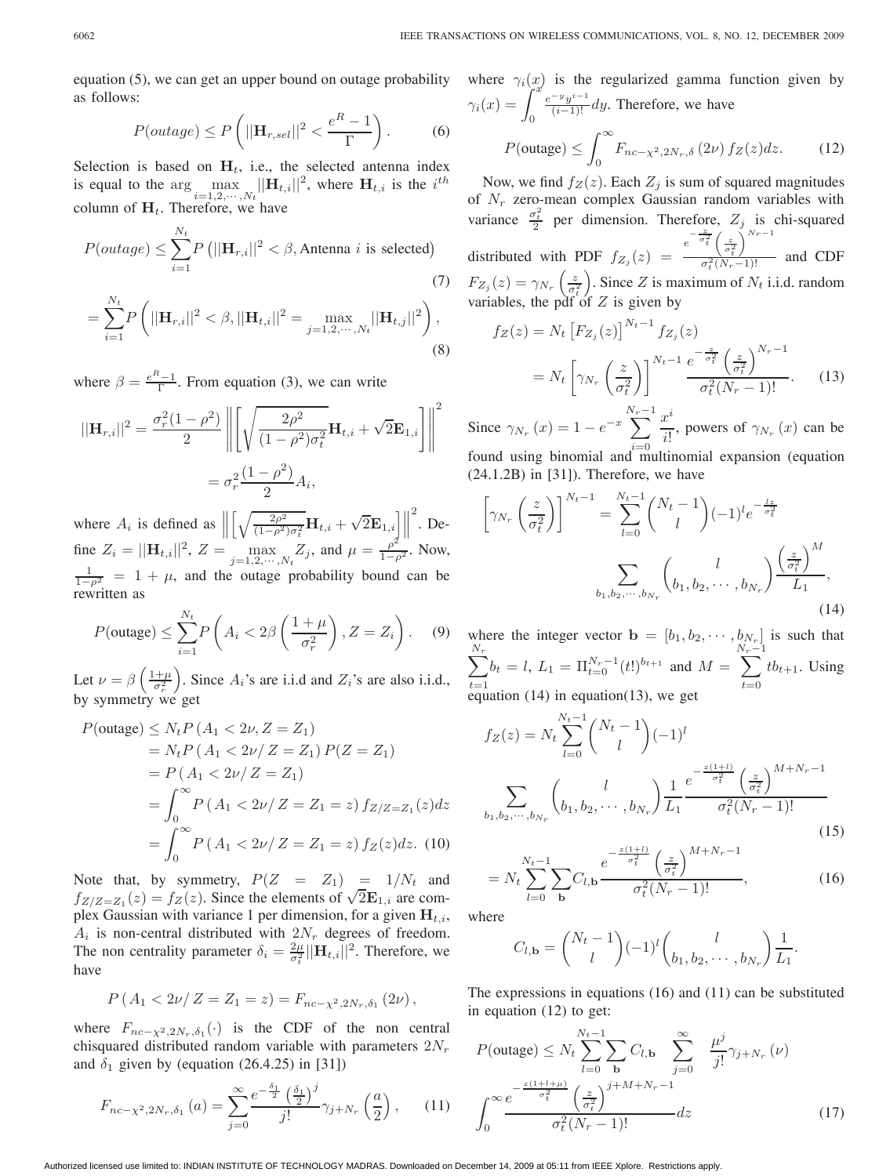equation (5), we can get an upper bound on outage probability as follows:

$$
P(outage) \le P\left(||\mathbf{H}_{r,sel}||^2 < \frac{e^R - 1}{\Gamma}\right). \tag{6}
$$

Selection is based on  $H_t$ , i.e., the selected antenna index is equal to the  $\arg \max_{i=1,2,\cdots,N_t} ||\mathbf{H}_{t,i}||^2$ , where  $\mathbf{H}_{t,i}$  is the  $i^{th}$ column of  $H_t$ . Therefore, we have

$$
P(outage) \le \sum_{i=1}^{N_t} P\left(||\mathbf{H}_{r,i}||^2 < \beta, \text{Antenna } i \text{ is selected}\right)
$$
\n
$$
N_t \tag{7}
$$

$$
= \sum_{i=1}^{Nt} P\left(||\mathbf{H}_{r,i}||^2 < \beta, ||\mathbf{H}_{t,i}||^2 = \max_{j=1,2,\cdots,N_t} ||\mathbf{H}_{t,j}||^2\right),\tag{8}
$$

where  $\beta = \frac{e^{R}-1}{\Gamma}$ . From equation (3), we can write

$$
||\mathbf{H}_{r,i}||^2 = \frac{\sigma_r^2 (1 - \rho^2)}{2} \left\| \left[ \sqrt{\frac{2\rho^2}{(1 - \rho^2)\sigma_t^2}} \mathbf{H}_{t,i} + \sqrt{2} \mathbf{E}_{1,i} \right] \right\|^2
$$

$$
= \sigma_r^2 \frac{(1 - \rho^2)}{2} A_i,
$$

where  $A_i$  is defined as  $\parallel$  $\left( \frac{2\rho^2}{\rho^2} \right)$  $\overline{\frac{2\rho^2}{(1-\rho^2)\sigma_t^2}}\mathbf{H}_{t,i} + \sqrt{2}\mathbf{E}_{1,i} \Big] \Big\|$  $\frac{2}{\text{}}$ . Define  $Z_i = ||\mathbf{H}_{t,i}||^2$ ,  $Z = \max_{j=1,2,\cdots,N_t} Z_j$ , and  $\mu = \frac{\rho^2}{1-\rho^2}$ . Now,  $\frac{1}{1-\rho^2}$  = 1 +  $\mu$ , and the outage probability bound can be rewritten as

$$
P(\text{outage}) \le \sum_{i=1}^{N_t} P\left(A_i < 2\beta\left(\frac{1+\mu}{\sigma_r^2}\right), Z = Z_i\right). \tag{9}
$$

Let  $\nu = \beta \left( \frac{1+\mu}{\sigma_r^2} \right)$ . Since  $A_i$ 's are i.i.d and  $Z_i$ 's are also i.i.d., by symmetry we get

$$
P(\text{outage}) \le N_t P (A_1 < 2\nu, Z = Z_1)
$$
  
=  $N_t P (A_1 < 2\nu / Z = Z_1) P(Z = Z_1)$   
=  $P (A_1 < 2\nu / Z = Z_1)$   
=  $\int_0^\infty P (A_1 < 2\nu / Z = Z_1 = z) f_{Z/Z = Z_1}(z) dz$   
=  $\int_0^\infty P (A_1 < 2\nu / Z = Z_1 = z) f_Z(z) dz$ . (10)

Note that, by symmetry,  $P(Z = Z_1) = 1/N_t$  and  $f_{Z/Z=Z_1}(z) = f_Z(z)$ . Since the elements of  $\sqrt{2}E_{1,i}$  are complex Gaussian with variance 1 per dimension, for a given  $H_{t,i}$ ,  $A_i$  is non-central distributed with  $2N_r$  degrees of freedom. The non centrality parameter  $\delta_i = \frac{2\mu}{\sigma_i^2} ||\mathbf{H}_{t,i}||^2$ . Therefore, we have

$$
P(A_1 < 2\nu/Z = Z_1 = z) = F_{nc-\chi^2, 2N_r, \delta_1}(2\nu),
$$

where  $F_{nc-x^2,2N_r,\delta_1}(\cdot)$  is the CDF of the non central chisquared distributed random variable with parameters  $2N_r$ and  $\delta_1$  given by (equation (26.4.25) in [31])

$$
F_{nc-\chi^2,2N_r,\delta_1}(a) = \sum_{j=0}^{\infty} \frac{e^{-\frac{\delta_1}{2}} \left(\frac{\delta_1}{2}\right)^j}{j!} \gamma_{j+N_r}\left(\frac{a}{2}\right),\qquad(11)
$$

where  $\gamma_i(x)$  is the regularized gamma function given by  $\gamma_i(x) = \int_0^x$  $\frac{e^{-y}y^{i-1}}{(i-1)!}$  dy. Therefore, we have

$$
P(\text{outage}) \le \int_0^\infty F_{nc-\chi^2, 2N_r, \delta} \left(2\nu\right) f_Z(z) dz. \tag{12}
$$

Now, we find  $f_Z(z)$ . Each  $Z_i$  is sum of squared magnitudes of  $N_r$  zero-mean complex Gaussian random variables with variance  $\frac{\sigma_t^2}{2}$  per dimension. Therefore,  $Z_j$  is chi-squared distributed with PDF  $f_{Z_j}(z) = \frac{e^{-\frac{z}{\sigma_t^2}} \left(\frac{z}{\sigma_t^2}\right)}{\sigma_t^2 (N_T)}$  $\setminus^{N_r-1}$  $\frac{\sqrt{\sigma_t^2}}{\sigma_t^2 (N_r - 1)!}$  and CDF  $F_{Z_j}(z) = \gamma_{N_r}\left(\frac{z}{\sigma_t^2}\right)$ ). Since Z is maximum of  $N_t$  i.i.d. random variables, the pdf of  $Z$  is given by

$$
f_Z(z) = N_t \left[ F_{Z_j}(z) \right]^{N_t - 1} f_{Z_j}(z)
$$
  
= 
$$
N_t \left[ \gamma_{N_r} \left( \frac{z}{\sigma_t^2} \right) \right]^{N_t - 1} \frac{e^{-\frac{z}{\sigma_t^2}} \left( \frac{z}{\sigma_t^2} \right)^{N_r - 1}}{\sigma_t^2 (N_r - 1)!}.
$$
 (13)

Since  $\gamma_{N_r}(x)=1 - e^{-x}$  $\sum^{N_r-1}$  $i=0$  $x^i$  $\frac{\partial}{\partial t}$ , powers of  $\gamma_{N_r}(x)$  can be found using binomial and multinomial expansion (equation

 $(24.1.2B)$  in [31]). Therefore, we have

$$
\left[\gamma_{N_r}\left(\frac{z}{\sigma_t^2}\right)\right]^{N_t-1} = \sum_{l=0}^{N_t-1} {N_t-1 \choose l} (-1)^l e^{-\frac{lz}{\sigma_t^2}} \sum_{b_1, b_2, \cdots, b_{N_r}} \left(\frac{l}{b_1, b_2, \cdots, b_{N_r}}\right) \frac{\left(\frac{z}{\sigma_t^2}\right)^M}{L_1},
$$
\n(14)

where the integer vector **b** =  $[b_1, b_2, \cdots, b_{N_r}]$  is such that ∑  $N_r$  $t=1$  $b_t = l$ ,  $L_1 = \prod_{t=0}^{N_r-1} (t!)^{b_{t+1}}$  and  $M =$  $\sum^{N_r-1}$  $t=0$  $tb_{t+1}$ . Using equation  $(14)$  in equation $(13)$ , we get

$$
f_Z(z) = N_t \sum_{l=0}^{N_t - 1} {N_t - 1 \choose l} (-1)^l
$$
  

$$
\sum_{b_1, b_2, \cdots, b_{N_r}} {l \choose b_1, b_2, \cdots, b_{N_r}} \frac{1}{L_1} e^{-\frac{z(1+l)}{\sigma_t^2} \left(\frac{z}{\sigma_t^2}\right)^{M+N_r-1}} \frac{1}{\sigma_t^2 (N_r - 1)!}
$$
 (15)

$$
= N_t \sum_{l=0}^{N_t - 1} \sum_{\mathbf{b}} C_{l, \mathbf{b}} \frac{e^{-\frac{z(1+l)}{\sigma_t^2}} \left(\frac{z}{\sigma_t^2}\right)^{M+N_r - 1}}{\sigma_t^2 (N_r - 1)!}, \tag{16}
$$

where

$$
C_{l, \mathbf{b}} = \binom{N_t - 1}{l} (-1)^l \binom{l}{b_1, b_2, \cdots, b_{N_r}} \frac{1}{L_1}.
$$

The expressions in equations (16) and (11) can be substituted in equation (12) to get:

$$
P(\text{outage}) \le N_t \sum_{l=0}^{N_t - 1} \sum_{\mathbf{b}} C_{l, \mathbf{b}} \sum_{j=0}^{\infty} \frac{\mu^j}{j!} \gamma_{j+N_r} (\nu)
$$

$$
\int_0^{\infty} \frac{e^{-\frac{z(1+l+\mu)}{\sigma_t^2}}}{\sigma_t^2 (N_r - 1)!} dz
$$
(17)

Authorized licensed use limited to: INDIAN INSTITUTE OF TECHNOLOGY MADRAS. Downloaded on December 14, 2009 at 05:11 from IEEE Xplore. Restrictions apply.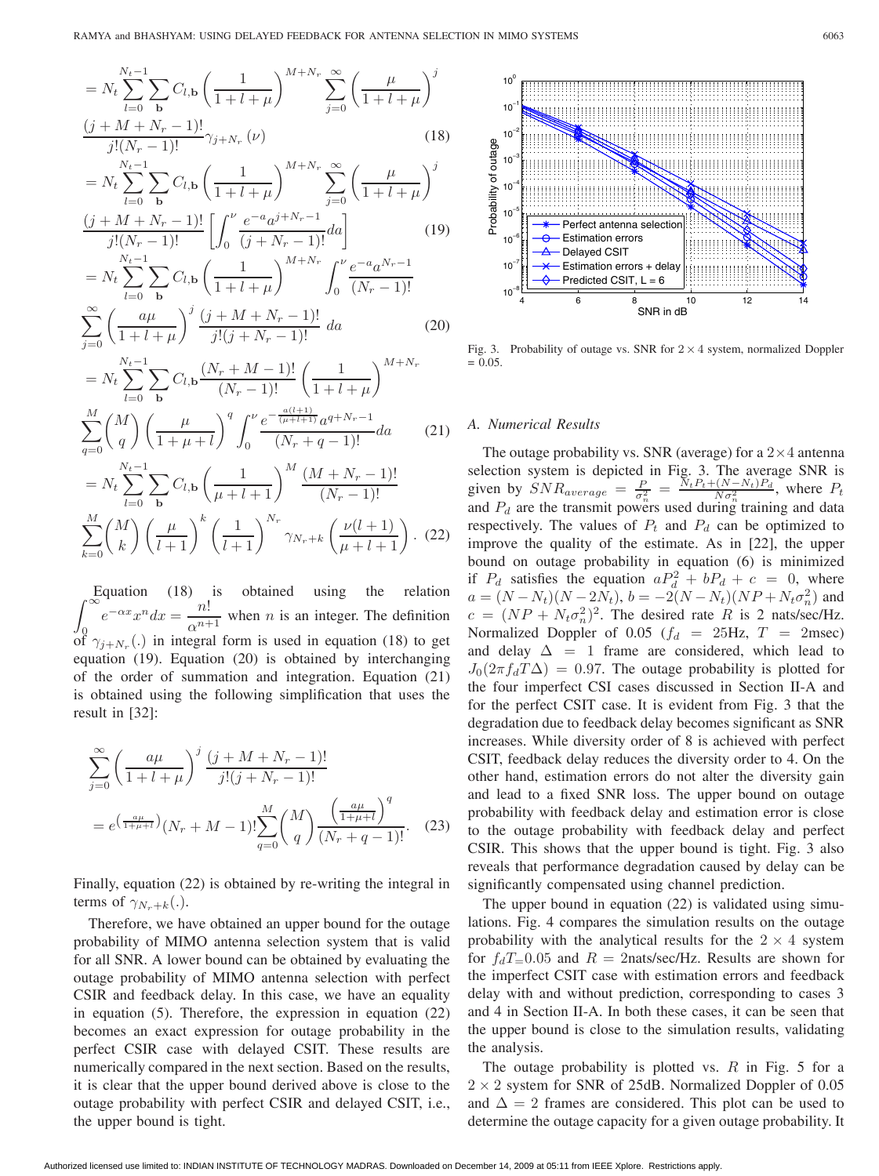$$
= N_t \sum_{l=0}^{N_t - 1} \sum_{\mathbf{b}} C_{l, \mathbf{b}} \left( \frac{1}{1 + l + \mu} \right)^{M + N_r} \sum_{j=0}^{\infty} \left( \frac{\mu}{1 + l + \mu} \right)^j
$$
  

$$
\frac{(j + M + N_r - 1)!}{j!(N_r - 1)!} \gamma_{j + N_r}(\nu)
$$
 (18)

$$
= N_t \sum_{l=0}^{N_t - 1} \sum_{\mathbf{b}} C_{l, \mathbf{b}} \left( \frac{1}{1 + l + \mu} \right)^{M + N_r} \sum_{j=0}^{\infty} \left( \frac{\mu}{1 + l + \mu} \right)^j
$$
  

$$
\frac{(j + M + N_r - 1)!}{j!(N_r - 1)!} \left[ \int_0^{\nu} \frac{e^{-a} a^{j + N_r - 1}}{(j + N_r - 1)!} da \right]
$$
(19)

$$
j:(N_r-1): [J_0 (j+ N_r-1) ]
$$
  
=  $N_t \sum_{l=0}^{N_t-1} \sum_{b} C_{l,b} \left( \frac{1}{1+l+\mu} \right)^{M+N_r} \int_0^{\nu} \frac{e^{-a} a^{N_r-1}}{(N_r-1)!}$   

$$
\sum_{l=0}^{\infty} \left( \frac{a\mu}{(N_r-1)!} \right)^j \frac{(j+M+N_r-1)!}{(N_r-1)!} da
$$
 (20)

$$
\sum_{j=0}^N \left( \frac{a\mu}{1+l+\mu} \right) \frac{(j+M+1)(r-1)!}{j!(j+N_r-1)!} da
$$
(20)  

$$
= N_t \sum_{l=0}^{N_t-1} \sum_{\mathbf{b}} C_{l,\mathbf{b}} \frac{(N_r+M-1)!}{(N_r-1)!} \left( \frac{1}{1+l+\mu} \right)^{M+N_r}
$$
  

$$
\sum_{l=0}^M {M \choose l} \left( \mu \right)^q \int_0^{\nu} e^{-\frac{a(l+1)}{(\mu+l+1)}} a^{q+N_r-1} d\mu
$$
(21)

∑ =0 1 + + 0 ( <sup>+</sup> <sup>−</sup> 1)! (21) = ∑−1 =0 ∑ **b** ,**<sup>b</sup>** ( 1 <sup>+</sup> + 1) ( <sup>+</sup> <sup>−</sup> 1)! ( − 1)! ∑ =0 ( ) ( + 1) ( <sup>1</sup> + 1) + ( ( + 1) <sup>+</sup> + 1) . (22)

∫ Equation (18) is obtained using the relation ∞  $\int_0^{\infty}$  of  $\gamma_{j+N_r}$ (.) in integral form is used in equation (18) to get  $e^{-\alpha x} x^n dx = \frac{n!}{\alpha^{n+1}}$  when *n* is an integer. The definition equation (19). Equation (20) is obtained by interchanging of the order of summation and integration. Equation (21) is obtained using the following simplification that uses the result in [32]:

$$
\sum_{j=0}^{\infty} \left( \frac{a\mu}{1+l+\mu} \right)^j \frac{(j+M+N_r-1)!}{j!(j+N_r-1)!}
$$
  
=  $e^{\left(\frac{a\mu}{1+\mu+l}\right)} (N_r+M-1)! \sum_{q=0}^M {M \choose q} \frac{\left(\frac{a\mu}{1+\mu+l}\right)^q}{(N_r+q-1)!}.$  (23)

Finally, equation (22) is obtained by re-writing the integral in terms of  $\gamma_{N_r+k}(.)$ .

Therefore, we have obtained an upper bound for the outage probability of MIMO antenna selection system that is valid for all SNR. A lower bound can be obtained by evaluating the outage probability of MIMO antenna selection with perfect CSIR and feedback delay. In this case, we have an equality in equation (5). Therefore, the expression in equation (22) becomes an exact expression for outage probability in the perfect CSIR case with delayed CSIT. These results are numerically compared in the next section. Based on the results, it is clear that the upper bound derived above is close to the outage probability with perfect CSIR and delayed CSIT, i.e., the upper bound is tight.



Fig. 3. Probability of outage vs. SNR for  $2 \times 4$  system, normalized Doppler  $= 0.05.$ 

## *A. Numerical Results*

The outage probability vs. SNR (average) for a  $2\times 4$  antenna selection system is depicted in Fig. 3. The average SNR is given by  $SNR_{average} = \frac{P}{\sigma_n^2} = \frac{N_t P_t + (N - N_t) P_d}{N \sigma_n^2}$ , where  $P_t$ and  $P_d$  are the transmit powers used during training and data respectively. The values of  $P_t$  and  $P_d$  can be optimized to improve the quality of the estimate. As in [22], the upper bound on outage probability in equation (6) is minimized if  $P_d$  satisfies the equation  $aP_d^2 + bP_d + c = 0$ , where  $a = (N - N_t)(N - 2N_t), b = -2(N - N_t)(NP + N_t\sigma_n^2)$  and  $c = (NP + N_t \sigma_n^2)^2$ . The desired rate R is 2 nats/sec/Hz. Normalized Doppler of 0.05 ( $f_d$  = 25Hz,  $T$  = 2msec) and delay  $\Delta = 1$  frame are considered, which lead to  $J_0(2\pi f_d T \Delta) = 0.97$ . The outage probability is plotted for the four imperfect CSI cases discussed in Section II-A and for the perfect CSIT case. It is evident from Fig. 3 that the degradation due to feedback delay becomes significant as SNR increases. While diversity order of 8 is achieved with perfect CSIT, feedback delay reduces the diversity order to 4. On the other hand, estimation errors do not alter the diversity gain and lead to a fixed SNR loss. The upper bound on outage probability with feedback delay and estimation error is close to the outage probability with feedback delay and perfect CSIR. This shows that the upper bound is tight. Fig. 3 also reveals that performance degradation caused by delay can be significantly compensated using channel prediction.

The upper bound in equation (22) is validated using simulations. Fig. 4 compares the simulation results on the outage probability with the analytical results for the  $2 \times 4$  system for  $f_dT=0.05$  and  $R = 2$ nats/sec/Hz. Results are shown for the imperfect CSIT case with estimation errors and feedback delay with and without prediction, corresponding to cases 3 and 4 in Section II-A. In both these cases, it can be seen that the upper bound is close to the simulation results, validating the analysis.

The outage probability is plotted vs.  $R$  in Fig. 5 for a  $2 \times 2$  system for SNR of 25dB. Normalized Doppler of 0.05 and  $\Delta=2$  frames are considered. This plot can be used to determine the outage capacity for a given outage probability. It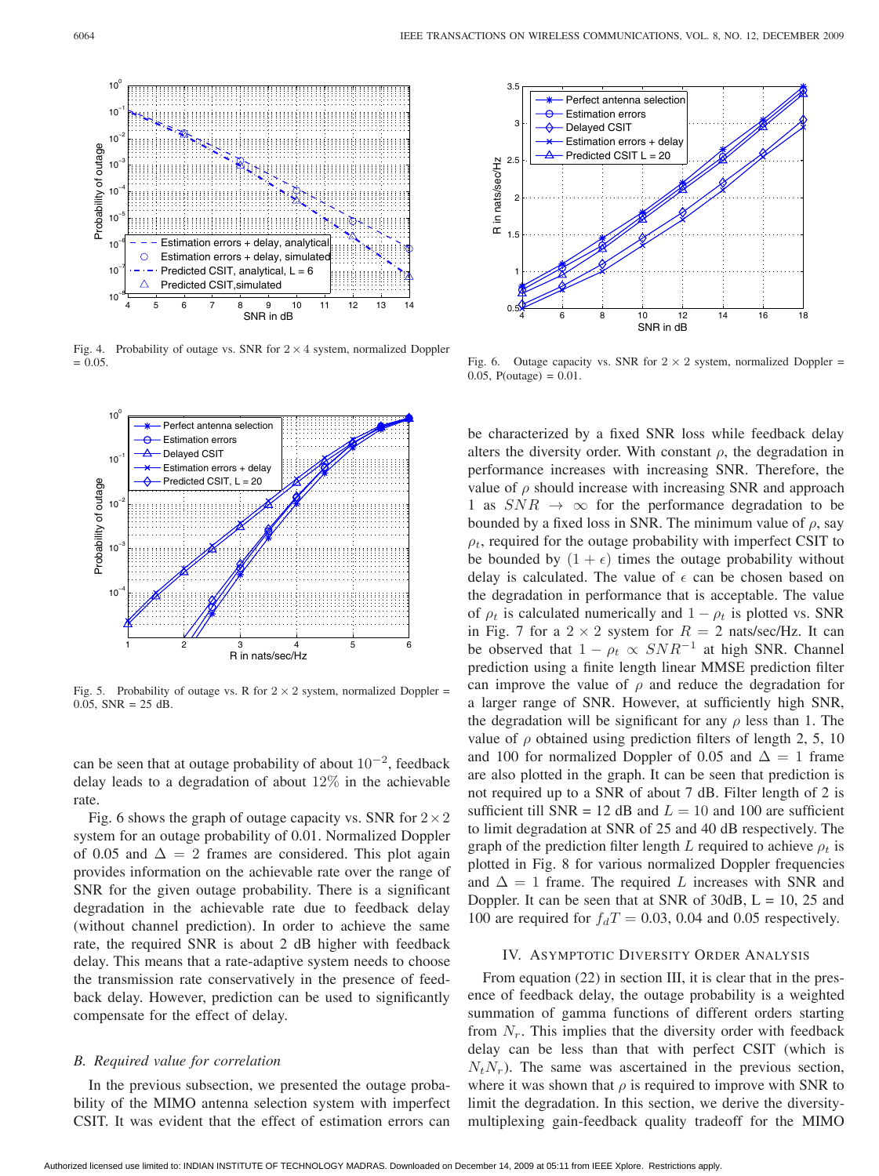

Fig. 4. Probability of outage vs. SNR for  $2 \times 4$  system, normalized Doppler  $= 0.05.$ 



Fig. 5. Probability of outage vs. R for  $2 \times 2$  system, normalized Doppler = 0.05,  $SNR = 25$  dB.

can be seen that at outage probability of about  $10^{-2}$ , feedback delay leads to a degradation of about 12% in the achievable rate.

Fig. 6 shows the graph of outage capacity vs. SNR for  $2 \times 2$ system for an outage probability of 0.01. Normalized Doppler of 0.05 and  $\Delta = 2$  frames are considered. This plot again provides information on the achievable rate over the range of SNR for the given outage probability. There is a significant degradation in the achievable rate due to feedback delay (without channel prediction). In order to achieve the same rate, the required SNR is about 2 dB higher with feedback delay. This means that a rate-adaptive system needs to choose the transmission rate conservatively in the presence of feedback delay. However, prediction can be used to significantly compensate for the effect of delay.

## *B. Required value for correlation*

In the previous subsection, we presented the outage probability of the MIMO antenna selection system with imperfect CSIT. It was evident that the effect of estimation errors can



Fig. 6. Outage capacity vs. SNR for  $2 \times 2$  system, normalized Doppler = 0.05, P(outage) =  $0.01$ .

be characterized by a fixed SNR loss while feedback delay alters the diversity order. With constant  $\rho$ , the degradation in performance increases with increasing SNR. Therefore, the value of  $\rho$  should increase with increasing SNR and approach 1 as  $SNR \rightarrow \infty$  for the performance degradation to be bounded by a fixed loss in SNR. The minimum value of  $\rho$ , say  $\rho_t$ , required for the outage probability with imperfect CSIT to be bounded by  $(1 + \epsilon)$  times the outage probability without delay is calculated. The value of  $\epsilon$  can be chosen based on the degradation in performance that is acceptable. The value of  $\rho_t$  is calculated numerically and  $1 - \rho_t$  is plotted vs. SNR in Fig. 7 for a  $2 \times 2$  system for  $R = 2$  nats/sec/Hz. It can be observed that  $1 - \rho_t \propto SNR^{-1}$  at high SNR. Channel prediction using a finite length linear MMSE prediction filter can improve the value of  $\rho$  and reduce the degradation for a larger range of SNR. However, at sufficiently high SNR, the degradation will be significant for any  $\rho$  less than 1. The value of  $\rho$  obtained using prediction filters of length 2, 5, 10 and 100 for normalized Doppler of 0.05 and  $\Delta = 1$  frame are also plotted in the graph. It can be seen that prediction is not required up to a SNR of about 7 dB. Filter length of 2 is sufficient till SNR = 12 dB and  $L = 10$  and 100 are sufficient to limit degradation at SNR of 25 and 40 dB respectively. The graph of the prediction filter length  $L$  required to achieve  $\rho_t$  is plotted in Fig. 8 for various normalized Doppler frequencies and  $\Delta = 1$  frame. The required L increases with SNR and Doppler. It can be seen that at SNR of  $30dB$ ,  $L = 10$ ,  $25$  and 100 are required for  $f_dT = 0.03$ , 0.04 and 0.05 respectively.

#### IV. ASYMPTOTIC DIVERSITY ORDER ANALYSIS

From equation (22) in section III, it is clear that in the presence of feedback delay, the outage probability is a weighted summation of gamma functions of different orders starting from  $N_r$ . This implies that the diversity order with feedback delay can be less than that with perfect CSIT (which is  $N_t N_r$ ). The same was ascertained in the previous section, where it was shown that  $\rho$  is required to improve with SNR to limit the degradation. In this section, we derive the diversitymultiplexing gain-feedback quality tradeoff for the MIMO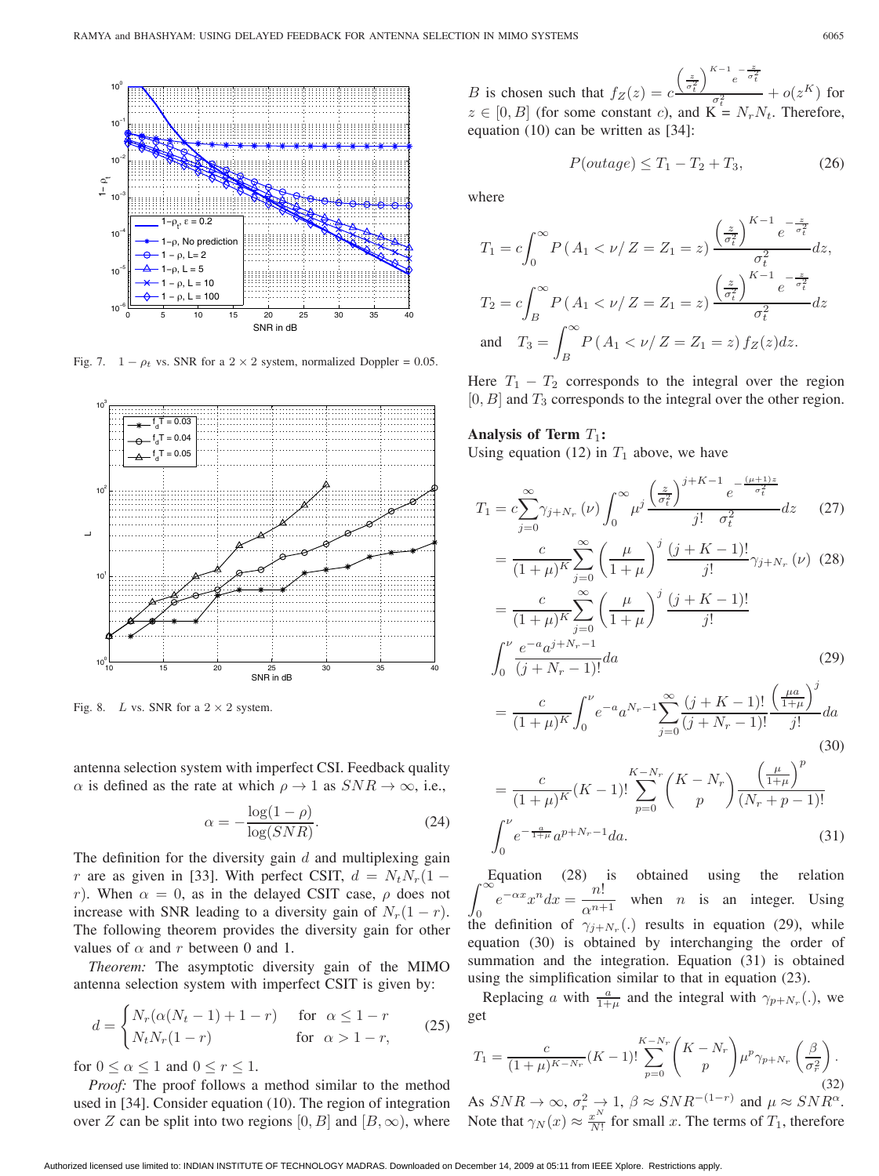

Fig. 7.  $1 - \rho_t$  vs. SNR for a 2 × 2 system, normalized Doppler = 0.05.



Fig. 8. L vs. SNR for a  $2 \times 2$  system.

antenna selection system with imperfect CSI. Feedback quality  $\alpha$  is defined as the rate at which  $\rho \to 1$  as  $SNR \to \infty$ , i.e.,

$$
\alpha = -\frac{\log(1 - \rho)}{\log(SNR)}.\tag{24}
$$

The definition for the diversity gain  $d$  and multiplexing gain r are as given in [33]. With perfect CSIT,  $d = N_t N_r (1$ r). When  $\alpha = 0$ , as in the delayed CSIT case,  $\rho$  does not increase with SNR leading to a diversity gain of  $N_r(1 - r)$ . The following theorem provides the diversity gain for other values of  $\alpha$  and  $r$  between 0 and 1.

*Theorem:* The asymptotic diversity gain of the MIMO antenna selection system with imperfect CSIT is given by:

$$
d = \begin{cases} N_r(\alpha(N_t - 1) + 1 - r) & \text{for } \alpha \le 1 - r \\ N_t N_r(1 - r) & \text{for } \alpha > 1 - r, \end{cases}
$$
 (25)

for  $0 \leq \alpha \leq 1$  and  $0 \leq r \leq 1$ .

*Proof:* The proof follows a method similar to the method used in [34]. Consider equation (10). The region of integration over Z can be split into two regions  $[0, B]$  and  $[B, \infty)$ , where

B is chosen such that  $f_Z(z) = c$  $\left(\frac{z}{\sigma_t^2}\right)$  $\bigg\}^{K-1} e^{-\frac{z}{\sigma_t^2}}$  $\frac{\sigma_t^2}{\sigma_t^2}$  +  $o(z^K)$  for  $z \in [0, B]$  (for some constant c), and  $K = N_r N_t$ . Therefore, equation (10) can be written as [34]:

$$
P(outage) \le T_1 - T_2 + T_3,\tag{26}
$$

where

$$
T_1 = c \int_0^\infty P(A_1 < \nu / Z = Z_1 = z) \frac{\left(\frac{z}{\sigma_t^2}\right)^{K-1} e^{-\frac{z}{\sigma_t^2}}}{\sigma_t^2} dz,
$$
  
\n
$$
T_2 = c \int_B^\infty P(A_1 < \nu / Z = Z_1 = z) \frac{\left(\frac{z}{\sigma_t^2}\right)^{K-1} e^{-\frac{z}{\sigma_t^2}}}{\sigma_t^2} dz
$$
  
\nand 
$$
T_3 = \int_B^\infty P(A_1 < \nu / Z = Z_1 = z) f_Z(z) dz.
$$

Here  $T_1 - T_2$  corresponds to the integral over the region  $[0, B]$  and  $T_3$  corresponds to the integral over the other region.

#### **Analysis of Term**  $T_1$ :

Using equation (12) in  $T_1$  above, we have

$$
T_{1} = c \sum_{j=0}^{\infty} \gamma_{j+N_{r}}(\nu) \int_{0}^{\infty} \mu^{j} \frac{\left(\frac{z}{\sigma_{t}^{2}}\right)^{j+K-1} e^{-\frac{(\mu+1)z}{\sigma_{t}^{2}}}}{j! \sigma_{t}^{2}} dz
$$
 (27)  

$$
= \frac{c}{(1+\mu)^{K}} \sum_{j=0}^{\infty} \left(\frac{\mu}{1+\mu}\right)^{j} \frac{(j+K-1)!}{j!} \gamma_{j+N_{r}}(\nu)
$$
 (28)  

$$
= \frac{c}{(1+\mu)^{K}} \sum_{j=0}^{\infty} \left(\frac{\mu}{1+\mu}\right)^{j} \frac{(j+K-1)!}{j!}
$$
  

$$
\int_{0}^{\nu} \frac{e^{-a} a^{j+N_{r}-1}}{(j+N_{r}-1)!} da
$$
 (29)

$$
=\frac{c}{(1+\mu)^K} \int_0^{\nu} e^{-a} a^{N_r-1} \sum_{j=0}^{\infty} \frac{(j+K-1)!}{(j+N_r-1)!} \frac{\left(\frac{\mu a}{1+\mu}\right)^j}{j!} da
$$
\n(30)

$$
= \frac{c}{(1+\mu)^K} (K-1)! \sum_{p=0}^{K-N_r} {K-N_r \choose p} \frac{\left(\frac{\mu}{1+\mu}\right)^p}{(N_r+p-1)!}
$$

$$
\int_0^{\nu} e^{-\frac{a}{1+\mu}} a^{p+N_r-1} da.
$$
(31)

∫ Equation (28) is obtained using the relation  $e^{-\alpha x}x^ndx = \frac{n!}{n!}$  $J_0$  definition of  $\gamma_{j+N_r}$ . results in equation (29), while when  $n$  is an integer. Using equation (30) is obtained by interchanging the order of summation and the integration. Equation (31) is obtained using the simplification similar to that in equation (23).

Replacing a with  $\frac{a}{1+\mu}$  and the integral with  $\gamma_{p+N_r}(.)$ , we get

$$
T_1 = \frac{c}{(1+\mu)^{K-N_r}} (K-1)! \sum_{p=0}^{K-N_r} \binom{K-N_r}{p} \mu^p \gamma_{p+N_r} \left(\frac{\beta}{\sigma_r^2}\right).
$$
\n(32)

As  $SNR \to \infty$ ,  $\sigma_r^2 \to 1$ ,  $\beta \approx SNR^{-(1-r)}$  and  $\mu \approx SNR^{\alpha}$ . Note that  $\gamma_N(x) \approx \frac{x^N}{N!}$  for small x. The terms of  $T_1$ , therefore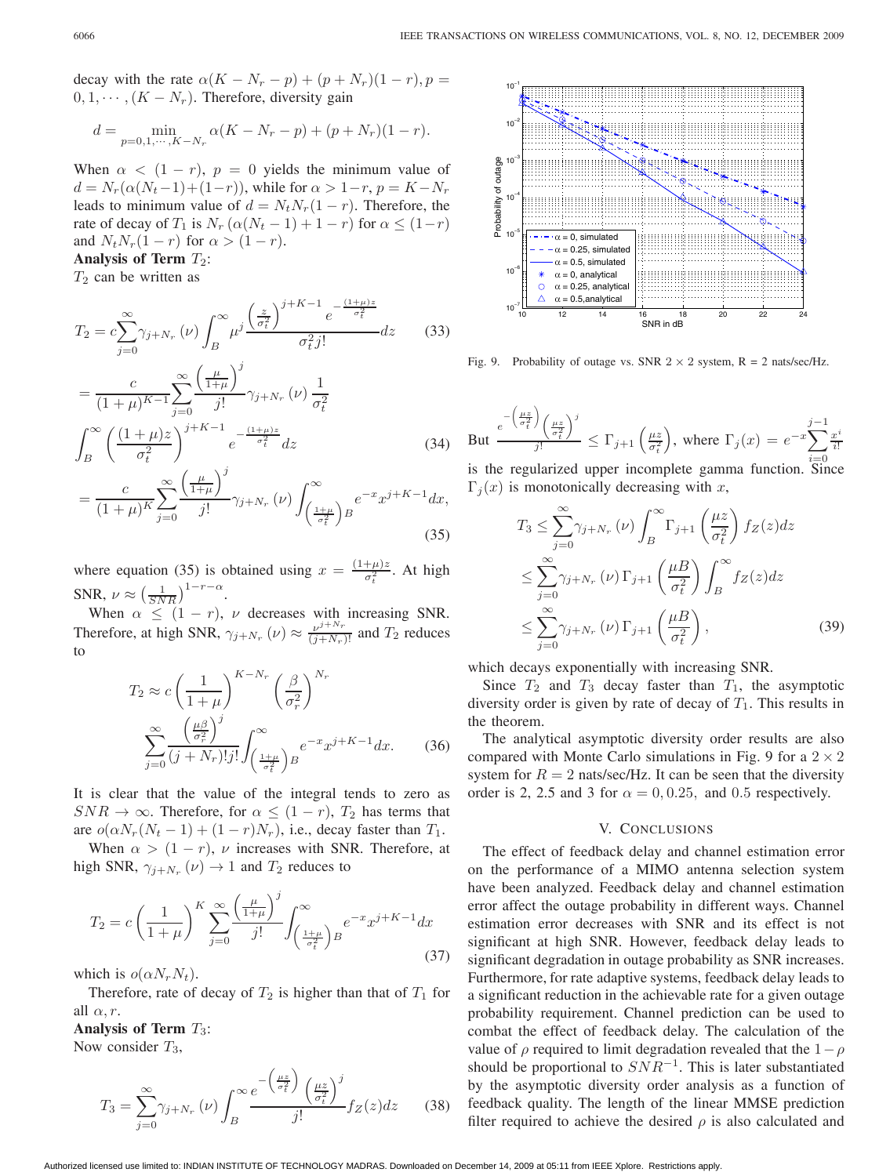decay with the rate  $\alpha (K - N_r - p) + (p + N_r)(1 - r), p =$  $0, 1, \cdots, (K - N_r)$ . Therefore, diversity gain

$$
d = \min_{p=0,1,\cdots,K-N_r} \alpha(K - N_r - p) + (p + N_r)(1 - r).
$$

When  $\alpha < (1 - r)$ ,  $p = 0$  yields the minimum value of  $d = N_r(\alpha(N_t-1)+(1-r))$ , while for  $\alpha > 1-r$ ,  $p = K - N_r$ leads to minimum value of  $d = N_t N_r (1 - r)$ . Therefore, the rate of decay of  $T_1$  is  $N_r(\alpha(N_t-1)+1-r)$  for  $\alpha \leq (1-r)$ and  $N_t N_r (1 - r)$  for  $\alpha > (1 - r)$ .

# Analysis of Term  $T_2$ :

 $T_2$  can be written as

$$
T_2 = c \sum_{j=0}^{\infty} \gamma_{j+N_r}(\nu) \int_B^{\infty} \mu^j \frac{\left(\frac{z}{\sigma_t^2}\right)^{j+K-1} e^{-\frac{(1+\mu)z}{\sigma_t^2}}}{\sigma_t^2 j!} dz
$$
 (33)  

$$
= \frac{c}{(1+\mu)^{K-1}} \sum_{j=0}^{\infty} \frac{\left(\frac{\mu}{1+\mu}\right)^j}{j!} \gamma_{j+N_r}(\nu) \frac{1}{\sigma_t^2}
$$
  

$$
\int_{-\infty}^{\infty} \left( (1+\mu)z \right)^{j+K-1} e^{-\frac{(1+\mu)z}{\sigma_t^2}} dz
$$
 (34)

$$
\int_{B} \left( \frac{(1 + \mu)z}{\sigma_t^2} \right) e^{-\frac{z}{\sigma_t^2}} dz
$$
\n
$$
\int_{B} \left( \frac{1}{\sigma_t^2} \right)^j
$$
\n
$$
\int_{B} \left( \frac{1}{\sigma_t^2} \right)^j
$$
\n
$$
\int_{B} \left( \frac{1}{\sigma_t^2} \right)^j
$$
\n
$$
\int_{B} \left( \frac{1}{\sigma_t^2} \right)^j
$$
\n
$$
\int_{B} \left( \frac{1}{\sigma_t^2} \right)^j
$$
\n
$$
\int_{B} \left( \frac{1}{\sigma_t^2} \right)^j
$$
\n
$$
\int_{B} \left( \frac{1}{\sigma_t^2} \right)^j
$$
\n
$$
\int_{B} \left( \frac{1}{\sigma_t^2} \right)^j
$$
\n
$$
\int_{B} \left( \frac{1}{\sigma_t^2} \right)^j
$$
\n
$$
\int_{B} \left( \frac{1}{\sigma_t^2} \right)^j
$$
\n
$$
\int_{B} \left( \frac{1}{\sigma_t^2} \right)^j
$$
\n
$$
\int_{B} \left( \frac{1}{\sigma_t^2} \right)^j
$$
\n
$$
\int_{B} \left( \frac{1}{\sigma_t^2} \right)^j
$$
\n
$$
\int_{B} \left( \frac{1}{\sigma_t^2} \right)^j
$$
\n
$$
\int_{B} \left( \frac{1}{\sigma_t^2} \right)^j
$$
\n
$$
\int_{B} \left( \frac{1}{\sigma_t^2} \right)^j
$$
\n
$$
\int_{B} \left( \frac{1}{\sigma_t^2} \right)^j
$$
\n
$$
\int_{B} \left( \frac{1}{\sigma_t^2} \right)^j
$$
\n
$$
\int_{B} \left( \frac{1}{\sigma_t^2} \right)^j
$$
\n
$$
\int_{B} \left( \frac{1}{\sigma_t^2} \right)^j
$$
\n
$$
\int_{B} \left( \frac{1}{\sigma_t^2} \right)^j
$$
\n
$$
\int_{B} \left( \frac{1}{\sigma_t^2} \right)^j
$$
\n
$$
\int_{B} \
$$

$$
=\frac{c}{(1+\mu)^K}\sum_{j=0}^{\infty}\frac{\left(\frac{\mu}{1+\mu}\right)}{j!}\gamma_{j+N_r}\left(\nu\right)\int_{\left(\frac{1+\mu}{\sigma_t^2}\right)B}^{\infty}e^{-x}x^{j+K-1}dx,
$$
\n(35)

where equation (35) is obtained using  $x = \frac{(1+\mu)z}{\sigma_t^2}$ . At high SNR,  $\nu \approx \left(\frac{1}{SNR}\right)^{1-r-\alpha}$ .

When  $\alpha \leq (1 - r)$ ,  $\nu$  decreases with increasing SNR. Therefore, at high SNR,  $\gamma_{j+N_r}(\nu) \approx \frac{\nu^{j+N_r}}{(j+N_r)!}$  and  $T_2$  reduces to

$$
T_2 \approx c \left(\frac{1}{1+\mu}\right)^{K-N_r} \left(\frac{\beta}{\sigma_r^2}\right)^{N_r}
$$

$$
\sum_{j=0}^{\infty} \frac{\left(\frac{\mu\beta}{\sigma_r^2}\right)^j}{(j+N_r)!j!} \int_{\left(\frac{1+\mu}{\sigma_t^2}\right)B}^{\infty} e^{-x} x^{j+K-1} dx. \tag{36}
$$

It is clear that the value of the integral tends to zero as  $SNR \rightarrow \infty$ . Therefore, for  $\alpha \leq (1 - r)$ ,  $T_2$  has terms that are  $o(\alpha N_r(N_t-1) + (1 - r)N_r)$ , i.e., decay faster than  $T_1$ .

When  $\alpha > (1 - r)$ ,  $\nu$  increases with SNR. Therefore, at high SNR,  $\gamma_{j+N_r}(\nu) \rightarrow 1$  and  $T_2$  reduces to

$$
T_2 = c \left(\frac{1}{1+\mu}\right)^K \sum_{j=0}^{\infty} \frac{\left(\frac{\mu}{1+\mu}\right)^j}{j!} \int_{\left(\frac{1+\mu}{\sigma_t^2}\right)B}^{\infty} e^{-x} x^{j+K-1} dx
$$
\n(37)

which is  $o(\alpha N_r N_t)$ .

Therefore, rate of decay of  $T_2$  is higher than that of  $T_1$  for all  $\alpha$ , r.

Analysis of Term  $T_3$ :

Now consider  $T_3$ ,

$$
T_3 = \sum_{j=0}^{\infty} \gamma_{j+N_r}(\nu) \int_B^{\infty} \frac{e^{-\left(\frac{\mu z}{\sigma_t^2}\right)} \left(\frac{\mu z}{\sigma_t^2}\right)^j}{j!} f_Z(z) dz \qquad (38)
$$



Fig. 9. Probability of outage vs. SNR  $2 \times 2$  system, R = 2 nats/sec/Hz.

But 
$$
\frac{e^{-\left(\frac{\mu z}{\sigma_t^2}\right)}\left(\frac{\mu z}{\sigma_t^2}\right)^j}{j!} \le \Gamma_{j+1}\left(\frac{\mu z}{\sigma_t^2}\right), \text{ where } \Gamma_j(x) = e^{-x} \sum_{i=0}^{j-1} \frac{x^i}{i!}
$$

is the regularized upper incomplete gamma function. Since  $\Gamma_j(x)$  is monotonically decreasing with x,

$$
T_3 \le \sum_{j=0}^{\infty} \gamma_{j+N_r}(\nu) \int_B^{\infty} \Gamma_{j+1} \left(\frac{\mu z}{\sigma_t^2}\right) f_Z(z) dz
$$
  

$$
\le \sum_{j=0}^{\infty} \gamma_{j+N_r}(\nu) \Gamma_{j+1} \left(\frac{\mu B}{\sigma_t^2}\right) \int_B^{\infty} f_Z(z) dz
$$
  

$$
\le \sum_{j=0}^{\infty} \gamma_{j+N_r}(\nu) \Gamma_{j+1} \left(\frac{\mu B}{\sigma_t^2}\right),
$$
 (39)

which decays exponentially with increasing SNR.

Since  $T_2$  and  $T_3$  decay faster than  $T_1$ , the asymptotic diversity order is given by rate of decay of  $T_1$ . This results in the theorem.

The analytical asymptotic diversity order results are also compared with Monte Carlo simulations in Fig. 9 for a  $2 \times 2$ system for  $R = 2$  nats/sec/Hz. It can be seen that the diversity order is 2, 2.5 and 3 for  $\alpha = 0, 0.25$ , and 0.5 respectively.

#### V. CONCLUSIONS

The effect of feedback delay and channel estimation error on the performance of a MIMO antenna selection system have been analyzed. Feedback delay and channel estimation error affect the outage probability in different ways. Channel estimation error decreases with SNR and its effect is not significant at high SNR. However, feedback delay leads to significant degradation in outage probability as SNR increases. Furthermore, for rate adaptive systems, feedback delay leads to a significant reduction in the achievable rate for a given outage probability requirement. Channel prediction can be used to combat the effect of feedback delay. The calculation of the value of  $\rho$  required to limit degradation revealed that the  $1-\rho$ should be proportional to  $SNR^{-1}$ . This is later substantiated by the asymptotic diversity order analysis as a function of feedback quality. The length of the linear MMSE prediction filter required to achieve the desired  $\rho$  is also calculated and